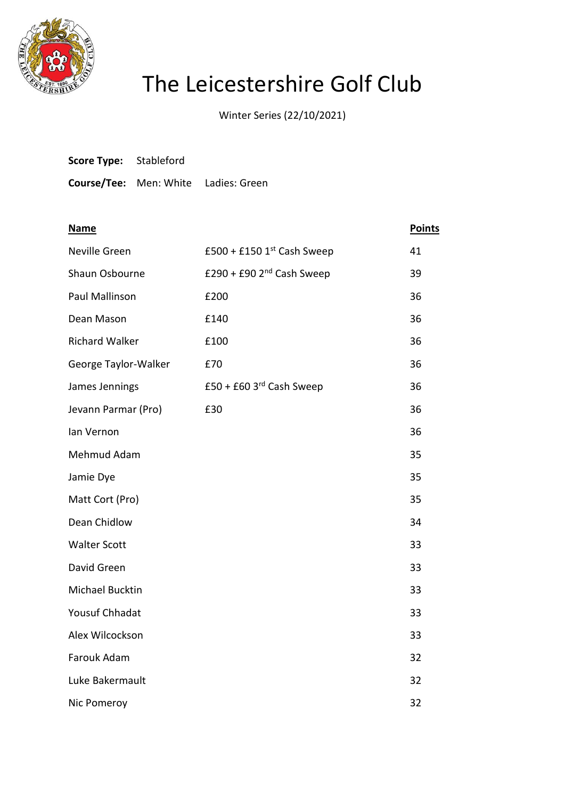

## The Leicestershire Golf Club

Winter Series (22/10/2021)

| <b>Score Type:</b> Stableford |                                             |
|-------------------------------|---------------------------------------------|
|                               | <b>Course/Tee:</b> Men: White Ladies: Green |

| <b>Name</b>           |                                        | <b>Points</b> |
|-----------------------|----------------------------------------|---------------|
| Neville Green         | £500 + £150 $1st$ Cash Sweep           | 41            |
| Shaun Osbourne        | £290 + £90 $2nd$ Cash Sweep            | 39            |
| Paul Mallinson        | £200                                   | 36            |
| Dean Mason            | £140                                   | 36            |
| <b>Richard Walker</b> | £100                                   | 36            |
| George Taylor-Walker  | £70                                    | 36            |
| James Jennings        | $£50 + £60$ 3 <sup>rd</sup> Cash Sweep | 36            |
| Jevann Parmar (Pro)   | £30                                    | 36            |
| lan Vernon            |                                        | 36            |
| Mehmud Adam           |                                        | 35            |
| Jamie Dye             |                                        | 35            |
| Matt Cort (Pro)       |                                        | 35            |
| Dean Chidlow          |                                        | 34            |
| <b>Walter Scott</b>   |                                        | 33            |
| David Green           |                                        | 33            |
| Michael Bucktin       |                                        | 33            |
| <b>Yousuf Chhadat</b> |                                        | 33            |
| Alex Wilcockson       |                                        | 33            |
| Farouk Adam           |                                        | 32            |
| Luke Bakermault       |                                        | 32            |
| Nic Pomeroy           |                                        | 32            |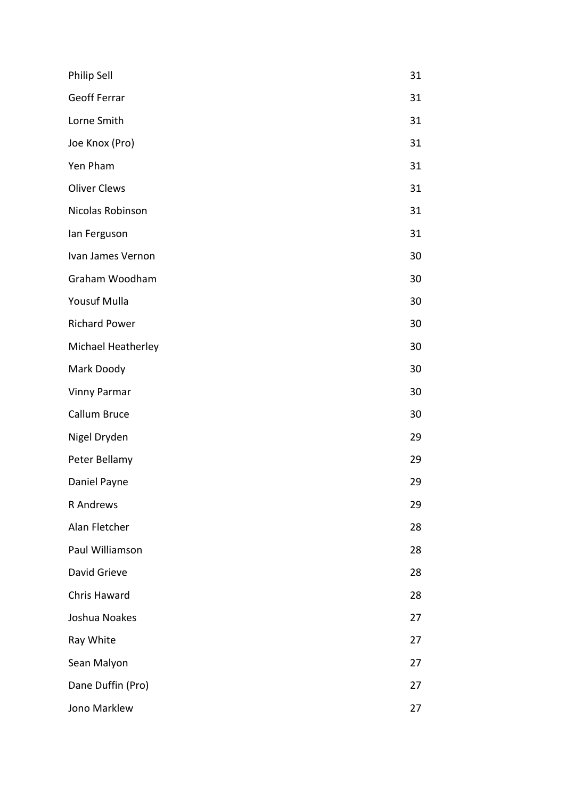| Philip Sell          | 31 |
|----------------------|----|
| <b>Geoff Ferrar</b>  | 31 |
| Lorne Smith          | 31 |
| Joe Knox (Pro)       | 31 |
| Yen Pham             | 31 |
| <b>Oliver Clews</b>  | 31 |
| Nicolas Robinson     | 31 |
| lan Ferguson         | 31 |
| Ivan James Vernon    | 30 |
| Graham Woodham       | 30 |
| Yousuf Mulla         | 30 |
| <b>Richard Power</b> | 30 |
| Michael Heatherley   | 30 |
| Mark Doody           | 30 |
| <b>Vinny Parmar</b>  | 30 |
| Callum Bruce         | 30 |
| Nigel Dryden         | 29 |
| Peter Bellamy        | 29 |
| Daniel Payne         | 29 |
| R Andrews            | 29 |
| Alan Fletcher        | 28 |
| Paul Williamson      | 28 |
| David Grieve         | 28 |
| <b>Chris Haward</b>  | 28 |
| Joshua Noakes        | 27 |
| Ray White            | 27 |
| Sean Malyon          | 27 |
| Dane Duffin (Pro)    | 27 |
| Jono Marklew         | 27 |